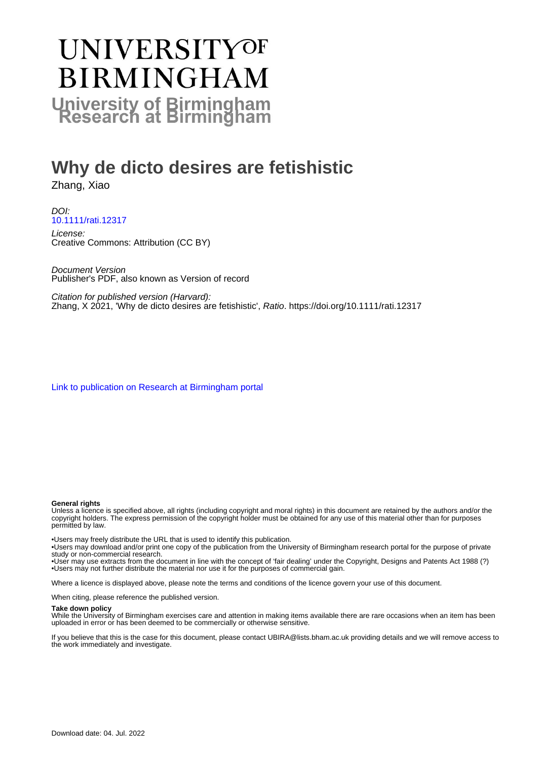# **UNIVERSITYOF BIRMINGHAM University of Birmingham**

# **Why de dicto desires are fetishistic**

Zhang, Xiao

DOI: [10.1111/rati.12317](https://doi.org/10.1111/rati.12317)

License: Creative Commons: Attribution (CC BY)

Document Version Publisher's PDF, also known as Version of record

Citation for published version (Harvard): Zhang, X 2021, 'Why de dicto desires are fetishistic', Ratio.<https://doi.org/10.1111/rati.12317>

[Link to publication on Research at Birmingham portal](https://birmingham.elsevierpure.com/en/publications/d497906e-41ca-4e51-b9bc-f72babfa3e30)

#### **General rights**

Unless a licence is specified above, all rights (including copyright and moral rights) in this document are retained by the authors and/or the copyright holders. The express permission of the copyright holder must be obtained for any use of this material other than for purposes permitted by law.

• Users may freely distribute the URL that is used to identify this publication.

• Users may download and/or print one copy of the publication from the University of Birmingham research portal for the purpose of private study or non-commercial research.

• User may use extracts from the document in line with the concept of 'fair dealing' under the Copyright, Designs and Patents Act 1988 (?) • Users may not further distribute the material nor use it for the purposes of commercial gain.

Where a licence is displayed above, please note the terms and conditions of the licence govern your use of this document.

When citing, please reference the published version.

#### **Take down policy**

While the University of Birmingham exercises care and attention in making items available there are rare occasions when an item has been uploaded in error or has been deemed to be commercially or otherwise sensitive.

If you believe that this is the case for this document, please contact UBIRA@lists.bham.ac.uk providing details and we will remove access to the work immediately and investigate.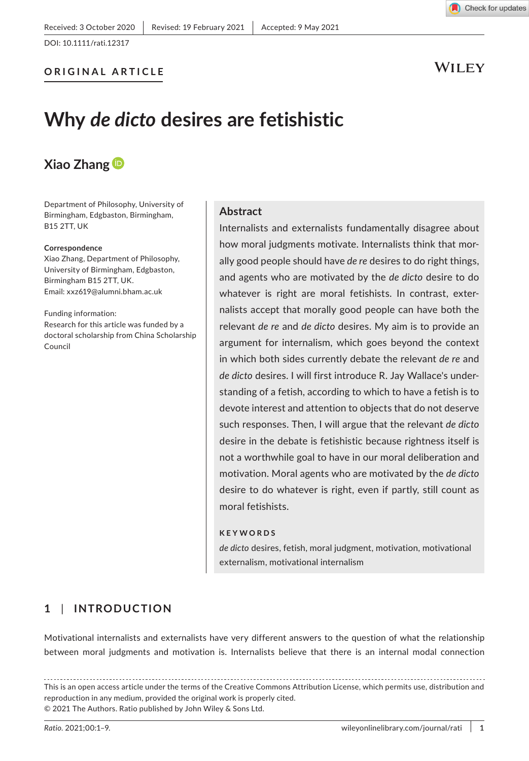

Check for updates

# **Why** *de dicto* **desires are fetishistic**

# **Xiao Zhang**

Department of Philosophy, University of Birmingham, Edgbaston, Birmingham, B15 2TT, UK

#### **Correspondence**

Xiao Zhang, Department of Philosophy, University of Birmingham, Edgbaston, Birmingham B15 2TT, UK. Email: [xxz619@alumni.bham.ac.uk](mailto:xxz619@alumni.bham.ac.uk)

Funding information: Research for this article was funded by a doctoral scholarship from China Scholarship Council

#### **Abstract**

Internalists and externalists fundamentally disagree about how moral judgments motivate. Internalists think that morally good people should have *de re* desires to do right things, and agents who are motivated by the *de dicto* desire to do whatever is right are moral fetishists. In contrast, externalists accept that morally good people can have both the relevant *de re* and *de dicto* desires. My aim is to provide an argument for internalism, which goes beyond the context in which both sides currently debate the relevant *de re* and *de dicto* desires. I will first introduce R. Jay Wallace's understanding of a fetish, according to which to have a fetish is to devote interest and attention to objects that do not deserve such responses. Then, I will argue that the relevant *de dicto* desire in the debate is fetishistic because rightness itself is not a worthwhile goal to have in our moral deliberation and motivation. Moral agents who are motivated by the *de dicto* desire to do whatever is right, even if partly, still count as moral fetishists.

#### **KEYWORDS**

*de dicto* desires, fetish, moral judgment, motivation, motivational externalism, motivational internalism

# **1** | **INTRODUCTION**

Motivational internalists and externalists have very different answers to the question of what the relationship between moral judgments and motivation is. Internalists believe that there is an internal modal connection

This is an open access article under the terms of the [Creative Commons Attribution](http://creativecommons.org/licenses/by/4.0/) License, which permits use, distribution and reproduction in any medium, provided the original work is properly cited. © 2021 The Authors. Ratio published by John Wiley & Sons Ltd.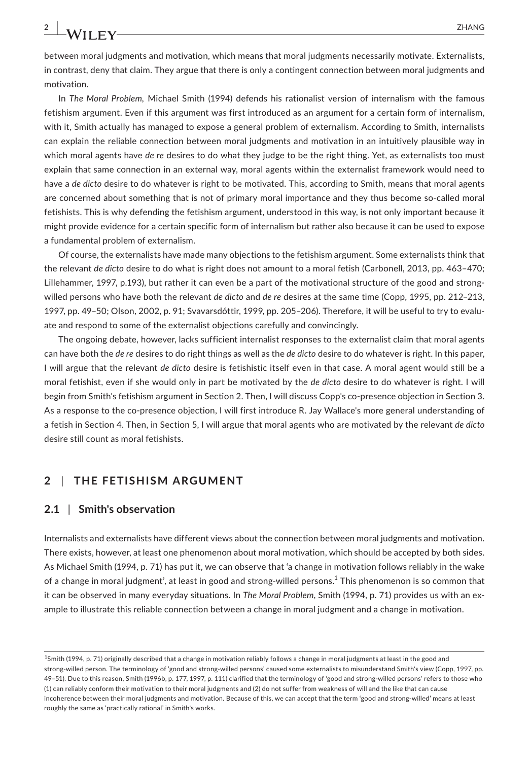between moral judgments and motivation, which means that moral judgments necessarily motivate. Externalists, in contrast, deny that claim. They argue that there is only a contingent connection between moral judgments and motivation.

In *The Moral Problem,* Michael Smith (1994) defends his rationalist version of internalism with the famous fetishism argument. Even if this argument was first introduced as an argument for a certain form of internalism, with it, Smith actually has managed to expose a general problem of externalism. According to Smith, internalists can explain the reliable connection between moral judgments and motivation in an intuitively plausible way in which moral agents have *de re* desires to do what they judge to be the right thing. Yet, as externalists too must explain that same connection in an external way, moral agents within the externalist framework would need to have a *de dicto* desire to do whatever is right to be motivated. This, according to Smith, means that moral agents are concerned about something that is not of primary moral importance and they thus become so-called moral fetishists. This is why defending the fetishism argument, understood in this way, is not only important because it might provide evidence for a certain specific form of internalism but rather also because it can be used to expose a fundamental problem of externalism.

Of course, the externalists have made many objections to the fetishism argument. Some externalists think that the relevant *de dicto* desire to do what is right does not amount to a moral fetish (Carbonell, 2013, pp. 463–470; Lillehammer, 1997, p.193), but rather it can even be a part of the motivational structure of the good and strongwilled persons who have both the relevant *de dicto* and *de re* desires at the same time (Copp, 1995, pp. 212–213, 1997, pp. 49–50; Olson, 2002, p. 91; Svavarsdóttir, 1999, pp. 205–206). Therefore, it will be useful to try to evaluate and respond to some of the externalist objections carefully and convincingly.

The ongoing debate, however, lacks sufficient internalist responses to the externalist claim that moral agents can have both the *de re* desires to do right things as well as the *de dicto* desire to do whatever is right. In this paper, I will argue that the relevant *de dicto* desire is fetishistic itself even in that case. A moral agent would still be a moral fetishist, even if she would only in part be motivated by the *de dicto* desire to do whatever is right. I will begin from Smith's fetishism argument in Section 2. Then, I will discuss Copp's co-presence objection in Section 3. As a response to the co-presence objection, I will first introduce R. Jay Wallace's more general understanding of a fetish in Section 4. Then, in Section 5, I will argue that moral agents who are motivated by the relevant *de dicto* desire still count as moral fetishists.

### **2** | **THE FETISHISM ARGUMENT**

#### **2.1** | **Smith's observation**

Internalists and externalists have different views about the connection between moral judgments and motivation. There exists, however, at least one phenomenon about moral motivation, which should be accepted by both sides. As Michael Smith (1994, p. 71) has put it, we can observe that 'a change in motivation follows reliably in the wake of a change in moral judgment', at least in good and strong-willed persons.<sup>1</sup> This phenomenon is so common that it can be observed in many everyday situations. In *The Moral Problem*, Smith (1994, p. 71) provides us with an example to illustrate this reliable connection between a change in moral judgment and a change in motivation.

<sup>&</sup>lt;sup>1</sup>Smith (1994, p. 71) originally described that a change in motivation reliably follows a change in moral judgments at least in the good and strong-willed person. The terminology of 'good and strong-willed persons' caused some externalists to misunderstand Smith's view (Copp, 1997, pp. 49–51). Due to this reason, Smith (1996b, p. 177, 1997, p. 111) clarified that the terminology of 'good and strong-willed persons' refers to those who (1) can reliably conform their motivation to their moral judgments and (2) do not suffer from weakness of will and the like that can cause incoherence between their moral judgments and motivation. Because of this, we can accept that the term 'good and strong-willed' means at least roughly the same as 'practically rational' in Smith's works.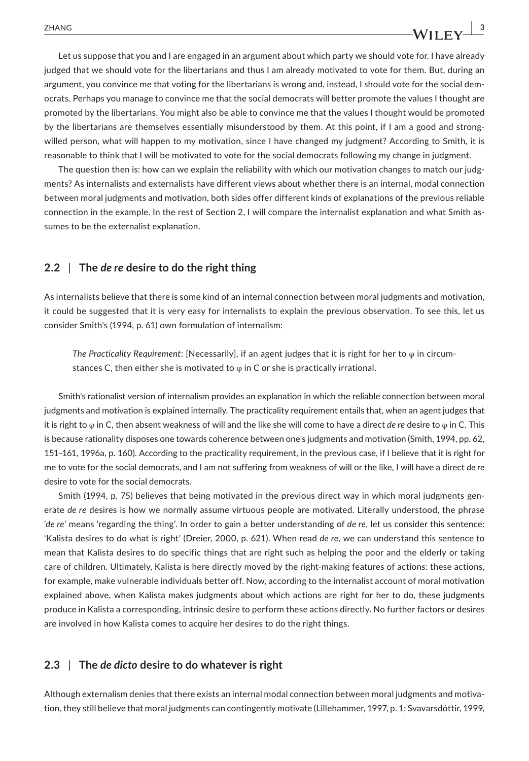Let us suppose that you and I are engaged in an argument about which party we should vote for. I have already judged that we should vote for the libertarians and thus I am already motivated to vote for them. But, during an argument, you convince me that voting for the libertarians is wrong and, instead, I should vote for the social democrats. Perhaps you manage to convince me that the social democrats will better promote the values I thought are promoted by the libertarians. You might also be able to convince me that the values I thought would be promoted by the libertarians are themselves essentially misunderstood by them. At this point, if I am a good and strongwilled person, what will happen to my motivation, since I have changed my judgment? According to Smith, it is reasonable to think that I will be motivated to vote for the social democrats following my change in judgment.

The question then is: how can we explain the reliability with which our motivation changes to match our judgments? As internalists and externalists have different views about whether there is an internal, modal connection between moral judgments and motivation, both sides offer different kinds of explanations of the previous reliable connection in the example. In the rest of Section 2, I will compare the internalist explanation and what Smith assumes to be the externalist explanation.

#### **2.2** | **The** *de re* **desire to do the right thing**

As internalists believe that there is some kind of an internal connection between moral judgments and motivation, it could be suggested that it is very easy for internalists to explain the previous observation. To see this, let us consider Smith's (1994, p. 61) own formulation of internalism:

*The Practicality Requirement*: [Necessarily], if an agent judges that it is right for her to φ in circumstances C, then either she is motivated to  $\varphi$  in C or she is practically irrational.

Smith's rationalist version of internalism provides an explanation in which the reliable connection between moral judgments and motivation is explained internally. The practicality requirement entails that, when an agent judges that it is right to φ in C, then absent weakness of will and the like she will come to have a direct *de re* desire to φ in C. This is because rationality disposes one towards coherence between one's judgments and motivation (Smith, 1994, pp. 62, 151–161, 1996a, p. 160). According to the practicality requirement, in the previous case, if I believe that it is right for me to vote for the social democrats, and I am not suffering from weakness of will or the like, I will have a direct *de re* desire to vote for the social democrats.

Smith (1994, p. 75) believes that being motivated in the previous direct way in which moral judgments generate *de re* desires is how we normally assume virtuous people are motivated. Literally understood, the phrase '*de re*' means 'regarding the thing'. In order to gain a better understanding of *de re*, let us consider this sentence: 'Kalista desires to do what is right' (Dreier, 2000, p. 621). When read *de re*, we can understand this sentence to mean that Kalista desires to do specific things that are right such as helping the poor and the elderly or taking care of children. Ultimately, Kalista is here directly moved by the right-making features of actions: these actions, for example, make vulnerable individuals better off. Now, according to the internalist account of moral motivation explained above, when Kalista makes judgments about which actions are right for her to do, these judgments produce in Kalista a corresponding, intrinsic desire to perform these actions directly. No further factors or desires are involved in how Kalista comes to acquire her desires to do the right things.

### **2.3** | **The** *de dicto* **desire to do whatever is right**

Although externalism denies that there exists an internal modal connection between moral judgments and motivation, they still believe that moral judgments can contingently motivate (Lillehammer, 1997, p. 1; Svavarsdóttir, 1999,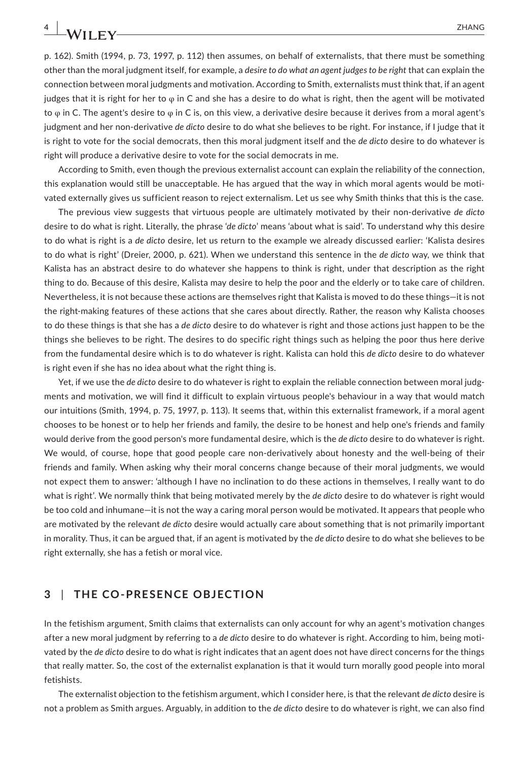p. 162). Smith (1994, p. 73, 1997, p. 112) then assumes, on behalf of externalists, that there must be something other than the moral judgment itself, for example, a *desire to do what an agent judges to be right* that can explain the connection between moral judgments and motivation. According to Smith, externalists must think that, if an agent judges that it is right for her to  $\varphi$  in C and she has a desire to do what is right, then the agent will be motivated to  $\varphi$  in C. The agent's desire to  $\varphi$  in C is, on this view, a derivative desire because it derives from a moral agent's judgment and her non-derivative *de dicto* desire to do what she believes to be right. For instance, if I judge that it is right to vote for the social democrats, then this moral judgment itself and the *de dicto* desire to do whatever is right will produce a derivative desire to vote for the social democrats in me.

According to Smith, even though the previous externalist account can explain the reliability of the connection, this explanation would still be unacceptable. He has argued that the way in which moral agents would be motivated externally gives us sufficient reason to reject externalism. Let us see why Smith thinks that this is the case.

The previous view suggests that virtuous people are ultimately motivated by their non-derivative *de dicto* desire to do what is right. Literally, the phrase '*de dicto*' means 'about what is said'. To understand why this desire to do what is right is a *de dicto* desire, let us return to the example we already discussed earlier: 'Kalista desires to do what is right' (Dreier, 2000, p. 621). When we understand this sentence in the *de dicto* way, we think that Kalista has an abstract desire to do whatever she happens to think is right, under that description as the right thing to do. Because of this desire, Kalista may desire to help the poor and the elderly or to take care of children. Nevertheless, it is not because these actions are themselves right that Kalista is moved to do these things—it is not the right-making features of these actions that she cares about directly. Rather, the reason why Kalista chooses to do these things is that she has a *de dicto* desire to do whatever is right and those actions just happen to be the things she believes to be right. The desires to do specific right things such as helping the poor thus here derive from the fundamental desire which is to do whatever is right. Kalista can hold this *de dicto* desire to do whatever is right even if she has no idea about what the right thing is.

Yet, if we use the *de dicto* desire to do whatever is right to explain the reliable connection between moral judgments and motivation, we will find it difficult to explain virtuous people's behaviour in a way that would match our intuitions (Smith, 1994, p. 75, 1997, p. 113). It seems that, within this externalist framework, if a moral agent chooses to be honest or to help her friends and family, the desire to be honest and help one's friends and family would derive from the good person's more fundamental desire, which is the *de dicto* desire to do whatever is right. We would, of course, hope that good people care non-derivatively about honesty and the well-being of their friends and family. When asking why their moral concerns change because of their moral judgments, we would not expect them to answer: 'although I have no inclination to do these actions in themselves, I really want to do what is right'. We normally think that being motivated merely by the *de dicto* desire to do whatever is right would be too cold and inhumane—it is not the way a caring moral person would be motivated. It appears that people who are motivated by the relevant *de dicto* desire would actually care about something that is not primarily important in morality. Thus, it can be argued that, if an agent is motivated by the *de dicto* desire to do what she believes to be right externally, she has a fetish or moral vice.

### **3** | **THE CO-PRESENCE OBJECTION**

In the fetishism argument, Smith claims that externalists can only account for why an agent's motivation changes after a new moral judgment by referring to a *de dicto* desire to do whatever is right. According to him, being motivated by the *de dicto* desire to do what is right indicates that an agent does not have direct concerns for the things that really matter. So, the cost of the externalist explanation is that it would turn morally good people into moral fetishists.

The externalist objection to the fetishism argument, which I consider here, is that the relevant *de dicto* desire is not a problem as Smith argues. Arguably, in addition to the *de dicto* desire to do whatever is right, we can also find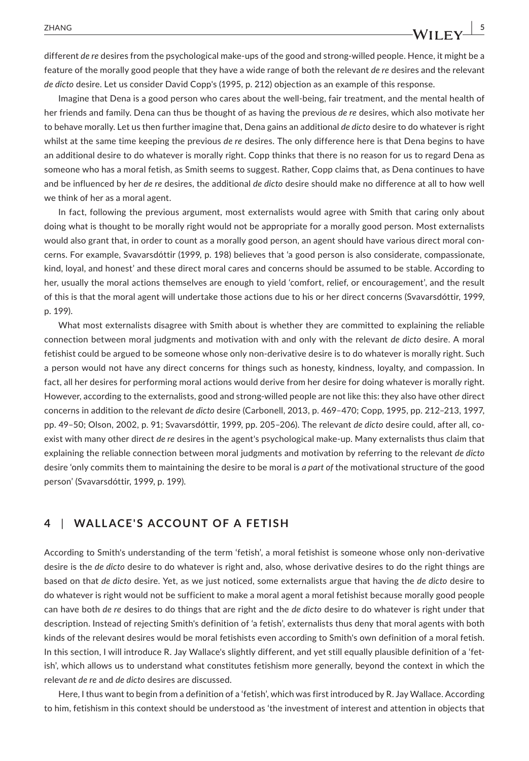different *de re* desires from the psychological make-ups of the good and strong-willed people. Hence, it might be a feature of the morally good people that they have a wide range of both the relevant *de re* desires and the relevant *de dicto* desire. Let us consider David Copp's (1995, p. 212) objection as an example of this response.

Imagine that Dena is a good person who cares about the well-being, fair treatment, and the mental health of her friends and family. Dena can thus be thought of as having the previous *de re* desires, which also motivate her to behave morally. Let us then further imagine that, Dena gains an additional *de dicto* desire to do whatever is right whilst at the same time keeping the previous *de re* desires. The only difference here is that Dena begins to have an additional desire to do whatever is morally right. Copp thinks that there is no reason for us to regard Dena as someone who has a moral fetish, as Smith seems to suggest. Rather, Copp claims that, as Dena continues to have and be influenced by her *de re* desires, the additional *de dicto* desire should make no difference at all to how well we think of her as a moral agent.

In fact, following the previous argument, most externalists would agree with Smith that caring only about doing what is thought to be morally right would not be appropriate for a morally good person. Most externalists would also grant that, in order to count as a morally good person, an agent should have various direct moral concerns. For example, Svavarsdóttir (1999, p. 198) believes that 'a good person is also considerate, compassionate, kind, loyal, and honest' and these direct moral cares and concerns should be assumed to be stable. According to her, usually the moral actions themselves are enough to yield 'comfort, relief, or encouragement', and the result of this is that the moral agent will undertake those actions due to his or her direct concerns (Svavarsdóttir, 1999, p. 199).

What most externalists disagree with Smith about is whether they are committed to explaining the reliable connection between moral judgments and motivation with and only with the relevant *de dicto* desire. A moral fetishist could be argued to be someone whose only non-derivative desire is to do whatever is morally right. Such a person would not have any direct concerns for things such as honesty, kindness, loyalty, and compassion. In fact, all her desires for performing moral actions would derive from her desire for doing whatever is morally right. However, according to the externalists, good and strong-willed people are not like this: they also have other direct concerns in addition to the relevant *de dicto* desire (Carbonell, 2013, p. 469–470; Copp, 1995, pp. 212–213, 1997, pp. 49–50; Olson, 2002, p. 91; Svavarsdóttir, 1999, pp. 205–206). The relevant *de dicto* desire could, after all, coexist with many other direct *de re* desires in the agent's psychological make-up. Many externalists thus claim that explaining the reliable connection between moral judgments and motivation by referring to the relevant *de dicto* desire 'only commits them to maintaining the desire to be moral is *a part of* the motivational structure of the good person' (Svavarsdóttir, 1999, p. 199).

# **4** | **WALLACE'S ACCOUNT OF A FETISH**

According to Smith's understanding of the term 'fetish', a moral fetishist is someone whose only non-derivative desire is the *de dicto* desire to do whatever is right and, also, whose derivative desires to do the right things are based on that *de dicto* desire. Yet, as we just noticed, some externalists argue that having the *de dicto* desire to do whatever is right would not be sufficient to make a moral agent a moral fetishist because morally good people can have both *de re* desires to do things that are right and the *de dicto* desire to do whatever is right under that description. Instead of rejecting Smith's definition of 'a fetish', externalists thus deny that moral agents with both kinds of the relevant desires would be moral fetishists even according to Smith's own definition of a moral fetish. In this section, I will introduce R. Jay Wallace's slightly different, and yet still equally plausible definition of a 'fetish', which allows us to understand what constitutes fetishism more generally, beyond the context in which the relevant *de re* and *de dicto* desires are discussed.

Here, I thus want to begin from a definition of a 'fetish', which was first introduced by R. Jay Wallace. According to him, fetishism in this context should be understood as 'the investment of interest and attention in objects that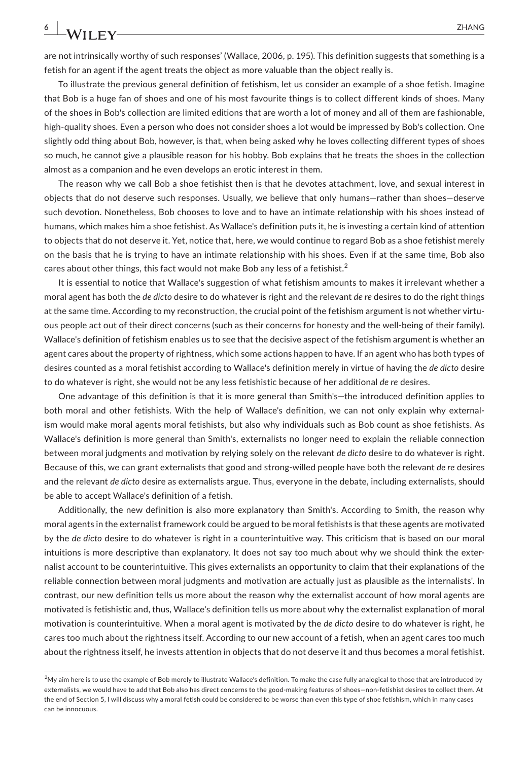are not intrinsically worthy of such responses' (Wallace, 2006, p. 195). This definition suggests that something is a fetish for an agent if the agent treats the object as more valuable than the object really is.

To illustrate the previous general definition of fetishism, let us consider an example of a shoe fetish. Imagine that Bob is a huge fan of shoes and one of his most favourite things is to collect different kinds of shoes. Many of the shoes in Bob's collection are limited editions that are worth a lot of money and all of them are fashionable, high-quality shoes. Even a person who does not consider shoes a lot would be impressed by Bob's collection. One slightly odd thing about Bob, however, is that, when being asked why he loves collecting different types of shoes so much, he cannot give a plausible reason for his hobby. Bob explains that he treats the shoes in the collection almost as a companion and he even develops an erotic interest in them.

The reason why we call Bob a shoe fetishist then is that he devotes attachment, love, and sexual interest in objects that do not deserve such responses. Usually, we believe that only humans—rather than shoes—deserve such devotion. Nonetheless, Bob chooses to love and to have an intimate relationship with his shoes instead of humans, which makes him a shoe fetishist. As Wallace's definition puts it, he is investing a certain kind of attention to objects that do not deserve it. Yet, notice that, here, we would continue to regard Bob as a shoe fetishist merely on the basis that he is trying to have an intimate relationship with his shoes. Even if at the same time, Bob also cares about other things, this fact would not make Bob any less of a fetishist.<sup>2</sup>

It is essential to notice that Wallace's suggestion of what fetishism amounts to makes it irrelevant whether a moral agent has both the *de dicto* desire to do whatever is right and the relevant *de re* desires to do the right things at the same time. According to my reconstruction, the crucial point of the fetishism argument is not whether virtuous people act out of their direct concerns (such as their concerns for honesty and the well-being of their family). Wallace's definition of fetishism enables us to see that the decisive aspect of the fetishism argument is whether an agent cares about the property of rightness, which some actions happen to have. If an agent who has both types of desires counted as a moral fetishist according to Wallace's definition merely in virtue of having the *de dicto* desire to do whatever is right, she would not be any less fetishistic because of her additional *de re* desires.

One advantage of this definition is that it is more general than Smith's—the introduced definition applies to both moral and other fetishists. With the help of Wallace's definition, we can not only explain why externalism would make moral agents moral fetishists, but also why individuals such as Bob count as shoe fetishists. As Wallace's definition is more general than Smith's, externalists no longer need to explain the reliable connection between moral judgments and motivation by relying solely on the relevant *de dicto* desire to do whatever is right. Because of this, we can grant externalists that good and strong-willed people have both the relevant *de re* desires and the relevant *de dicto* desire as externalists argue. Thus, everyone in the debate, including externalists, should be able to accept Wallace's definition of a fetish.

Additionally, the new definition is also more explanatory than Smith's. According to Smith, the reason why moral agents in the externalist framework could be argued to be moral fetishists is that these agents are motivated by the *de dicto* desire to do whatever is right in a counterintuitive way. This criticism that is based on our moral intuitions is more descriptive than explanatory. It does not say too much about why we should think the externalist account to be counterintuitive. This gives externalists an opportunity to claim that their explanations of the reliable connection between moral judgments and motivation are actually just as plausible as the internalists'. In contrast, our new definition tells us more about the reason why the externalist account of how moral agents are motivated is fetishistic and, thus, Wallace's definition tells us more about why the externalist explanation of moral motivation is counterintuitive. When a moral agent is motivated by the *de dicto* desire to do whatever is right, he cares too much about the rightness itself. According to our new account of a fetish, when an agent cares too much about the rightness itself, he invests attention in objects that do not deserve it and thus becomes a moral fetishist.

 $^2$ My aim here is to use the example of Bob merely to illustrate Wallace's definition. To make the case fully analogical to those that are introduced by externalists, we would have to add that Bob also has direct concerns to the good-making features of shoes—non-fetishist desires to collect them. At the end of Section 5, I will discuss why a moral fetish could be considered to be worse than even this type of shoe fetishism, which in many cases can be innocuous.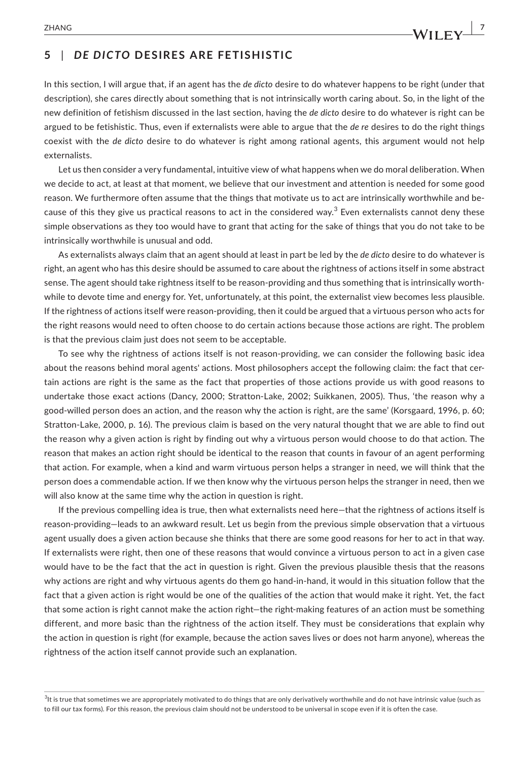# **5** | *DE DICTO* **DESIRES ARE FETISHISTIC**

In this section, I will argue that, if an agent has the *de dicto* desire to do whatever happens to be right (under that description), she cares directly about something that is not intrinsically worth caring about. So, in the light of the new definition of fetishism discussed in the last section, having the *de dicto* desire to do whatever is right can be argued to be fetishistic. Thus, even if externalists were able to argue that the *de re* desires to do the right things coexist with the *de dicto* desire to do whatever is right among rational agents, this argument would not help externalists.

Let us then consider a very fundamental, intuitive view of what happens when we do moral deliberation. When we decide to act, at least at that moment, we believe that our investment and attention is needed for some good reason. We furthermore often assume that the things that motivate us to act are intrinsically worthwhile and because of this they give us practical reasons to act in the considered way.<sup>3</sup> Even externalists cannot deny these simple observations as they too would have to grant that acting for the sake of things that you do not take to be intrinsically worthwhile is unusual and odd.

As externalists always claim that an agent should at least in part be led by the *de dicto* desire to do whatever is right, an agent who has this desire should be assumed to care about the rightness of actions itself in some abstract sense. The agent should take rightness itself to be reason-providing and thus something that is intrinsically worthwhile to devote time and energy for. Yet, unfortunately, at this point, the externalist view becomes less plausible. If the rightness of actions itself were reason-providing, then it could be argued that a virtuous person who acts for the right reasons would need to often choose to do certain actions because those actions are right. The problem is that the previous claim just does not seem to be acceptable.

To see why the rightness of actions itself is not reason-providing, we can consider the following basic idea about the reasons behind moral agents' actions. Most philosophers accept the following claim: the fact that certain actions are right is the same as the fact that properties of those actions provide us with good reasons to undertake those exact actions (Dancy, 2000; Stratton-Lake, 2002; Suikkanen, 2005). Thus, 'the reason why a good-willed person does an action, and the reason why the action is right, are the same' (Korsgaard, 1996, p. 60; Stratton-Lake, 2000, p. 16). The previous claim is based on the very natural thought that we are able to find out the reason why a given action is right by finding out why a virtuous person would choose to do that action. The reason that makes an action right should be identical to the reason that counts in favour of an agent performing that action. For example, when a kind and warm virtuous person helps a stranger in need, we will think that the person does a commendable action. If we then know why the virtuous person helps the stranger in need, then we will also know at the same time why the action in question is right.

If the previous compelling idea is true, then what externalists need here—that the rightness of actions itself is reason-providing—leads to an awkward result. Let us begin from the previous simple observation that a virtuous agent usually does a given action because she thinks that there are some good reasons for her to act in that way. If externalists were right, then one of these reasons that would convince a virtuous person to act in a given case would have to be the fact that the act in question is right. Given the previous plausible thesis that the reasons why actions are right and why virtuous agents do them go hand-in-hand, it would in this situation follow that the fact that a given action is right would be one of the qualities of the action that would make it right. Yet, the fact that some action is right cannot make the action right—the right-making features of an action must be something different, and more basic than the rightness of the action itself. They must be considerations that explain why the action in question is right (for example, because the action saves lives or does not harm anyone), whereas the rightness of the action itself cannot provide such an explanation.

 $^3$ It is true that sometimes we are appropriately motivated to do things that are only derivatively worthwhile and do not have intrinsic value (such as to fill our tax forms). For this reason, the previous claim should not be understood to be universal in scope even if it is often the case.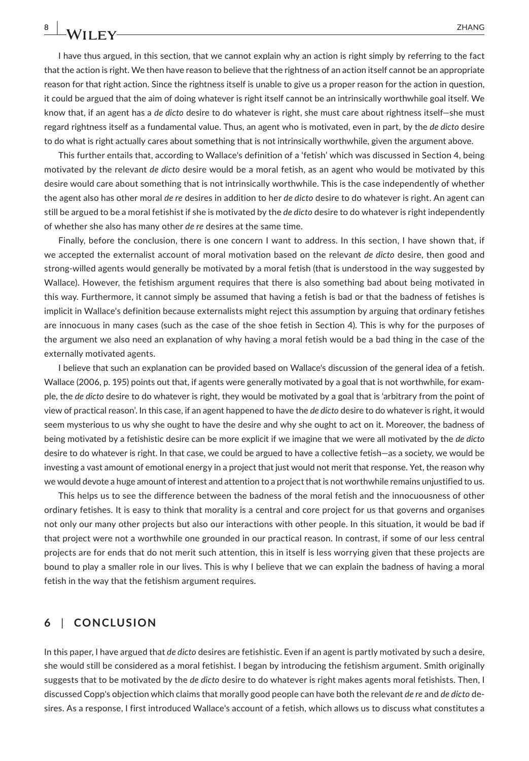I have thus argued, in this section, that we cannot explain why an action is right simply by referring to the fact that the action is right. We then have reason to believe that the rightness of an action itself cannot be an appropriate reason for that right action. Since the rightness itself is unable to give us a proper reason for the action in question, it could be argued that the aim of doing whatever is right itself cannot be an intrinsically worthwhile goal itself. We know that, if an agent has a *de dicto* desire to do whatever is right, she must care about rightness itself—she must regard rightness itself as a fundamental value. Thus, an agent who is motivated, even in part, by the *de dicto* desire to do what is right actually cares about something that is not intrinsically worthwhile, given the argument above.

This further entails that, according to Wallace's definition of a 'fetish' which was discussed in Section 4, being motivated by the relevant *de dicto* desire would be a moral fetish, as an agent who would be motivated by this desire would care about something that is not intrinsically worthwhile. This is the case independently of whether the agent also has other moral *de re* desires in addition to her *de dicto* desire to do whatever is right. An agent can still be argued to be a moral fetishist if she is motivated by the *de dicto* desire to do whatever is right independently of whether she also has many other *de re* desires at the same time.

Finally, before the conclusion, there is one concern I want to address. In this section, I have shown that, if we accepted the externalist account of moral motivation based on the relevant *de dicto* desire, then good and strong-willed agents would generally be motivated by a moral fetish (that is understood in the way suggested by Wallace). However, the fetishism argument requires that there is also something bad about being motivated in this way. Furthermore, it cannot simply be assumed that having a fetish is bad or that the badness of fetishes is implicit in Wallace's definition because externalists might reject this assumption by arguing that ordinary fetishes are innocuous in many cases (such as the case of the shoe fetish in Section 4). This is why for the purposes of the argument we also need an explanation of why having a moral fetish would be a bad thing in the case of the externally motivated agents.

I believe that such an explanation can be provided based on Wallace's discussion of the general idea of a fetish. Wallace (2006, p. 195) points out that, if agents were generally motivated by a goal that is not worthwhile, for example, the *de dicto* desire to do whatever is right, they would be motivated by a goal that is 'arbitrary from the point of view of practical reason'. In this case, if an agent happened to have the *de dicto* desire to do whatever is right, it would seem mysterious to us why she ought to have the desire and why she ought to act on it. Moreover, the badness of being motivated by a fetishistic desire can be more explicit if we imagine that we were all motivated by the *de dicto* desire to do whatever is right. In that case, we could be argued to have a collective fetish—as a society, we would be investing a vast amount of emotional energy in a project that just would not merit that response. Yet, the reason why we would devote a huge amount of interest and attention to a project that is not worthwhile remains unjustified to us.

This helps us to see the difference between the badness of the moral fetish and the innocuousness of other ordinary fetishes. It is easy to think that morality is a central and core project for us that governs and organises not only our many other projects but also our interactions with other people. In this situation, it would be bad if that project were not a worthwhile one grounded in our practical reason. In contrast, if some of our less central projects are for ends that do not merit such attention, this in itself is less worrying given that these projects are bound to play a smaller role in our lives. This is why I believe that we can explain the badness of having a moral fetish in the way that the fetishism argument requires.

#### **6** | **CONCLUSION**

In this paper, I have argued that *de dicto* desires are fetishistic. Even if an agent is partly motivated by such a desire, she would still be considered as a moral fetishist. I began by introducing the fetishism argument. Smith originally suggests that to be motivated by the *de dicto* desire to do whatever is right makes agents moral fetishists. Then, I discussed Copp's objection which claims that morally good people can have both the relevant *de re* and *de dicto* desires. As a response, I first introduced Wallace's account of a fetish, which allows us to discuss what constitutes a